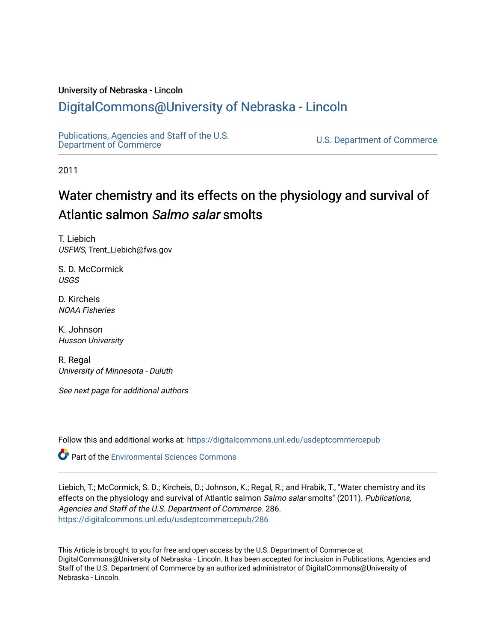## University of Nebraska - Lincoln

# [DigitalCommons@University of Nebraska - Lincoln](https://digitalcommons.unl.edu/)

[Publications, Agencies and Staff of the U.S.](https://digitalcommons.unl.edu/usdeptcommercepub)

U.S. [Department of Commerce](https://digitalcommons.unl.edu/usdeptcommercepub)

2011

# Water chemistry and its effects on the physiology and survival of Atlantic salmon Salmo salar smolts

T. Liebich USFWS, Trent\_Liebich@fws.gov

S. D. McCormick USGS

D. Kircheis NOAA Fisheries

K. Johnson Husson University

R. Regal University of Minnesota - Duluth

See next page for additional authors

Follow this and additional works at: [https://digitalcommons.unl.edu/usdeptcommercepub](https://digitalcommons.unl.edu/usdeptcommercepub?utm_source=digitalcommons.unl.edu%2Fusdeptcommercepub%2F286&utm_medium=PDF&utm_campaign=PDFCoverPages)

**C**<sup> $\bullet$ </sup> Part of the [Environmental Sciences Commons](http://network.bepress.com/hgg/discipline/167?utm_source=digitalcommons.unl.edu%2Fusdeptcommercepub%2F286&utm_medium=PDF&utm_campaign=PDFCoverPages)

Liebich, T.; McCormick, S. D.; Kircheis, D.; Johnson, K.; Regal, R.; and Hrabik, T., "Water chemistry and its effects on the physiology and survival of Atlantic salmon Salmo salar smolts" (2011). Publications, Agencies and Staff of the U.S. Department of Commerce. 286. [https://digitalcommons.unl.edu/usdeptcommercepub/286](https://digitalcommons.unl.edu/usdeptcommercepub/286?utm_source=digitalcommons.unl.edu%2Fusdeptcommercepub%2F286&utm_medium=PDF&utm_campaign=PDFCoverPages) 

This Article is brought to you for free and open access by the U.S. Department of Commerce at DigitalCommons@University of Nebraska - Lincoln. It has been accepted for inclusion in Publications, Agencies and Staff of the U.S. Department of Commerce by an authorized administrator of DigitalCommons@University of Nebraska - Lincoln.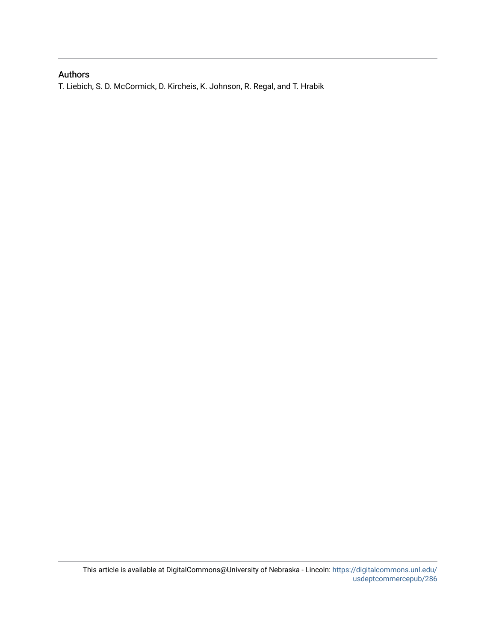# Authors

T. Liebich, S. D. McCormick, D. Kircheis, K. Johnson, R. Regal, and T. Hrabik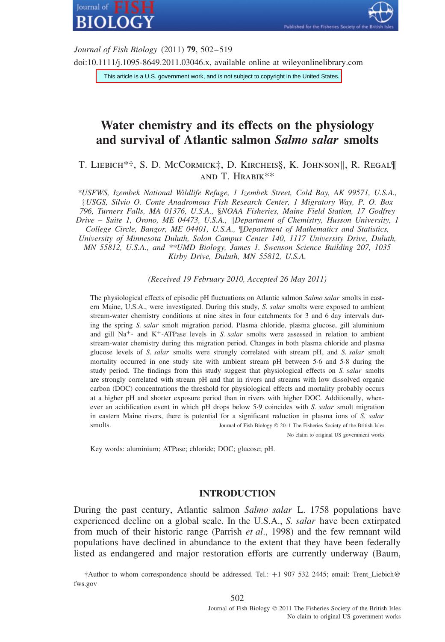

Published for the Fisheries Society of

*Journal of Fish Biology* (2011) **79**, 502–519

doi:10.1111/j.1095-8649.2011.03046.x, available online at wileyonlinelibrary.com

This article is a U.S. government work, and is not subject to copyright in the United States.

# **Water chemistry and its effects on the physiology and survival of Atlantic salmon** *Salmo salar* **smolts**

T. Liebich\*†, S. D. McCormick‡, D. Kircheis§, K. Johnson∥, R. Regal¶ and T. Hrabik\*\*

*\*USFWS, Izembek National Wildlife Refuge, 1 Izembek Street, Cold Bay, AK 99571, U.S.A.,* ‡*USGS, Silvio O. Conte Anadromous Fish Research Center, 1 Migratory Way, P. O. Box 796, Turners Falls, MA 01376, U.S.A.,* §*NOAA Fisheries, Maine Field Station, 17 Godfrey Drive – Suite 1, Orono, ME 04473, U.S.A., ||Department of Chemistry, Husson University, 1 College Circle, Bangor, ME 04401, U.S.A.,* ¶*Department of Mathematics and Statistics, University of Minnesota Duluth, Solon Campus Center 140, 1117 University Drive, Duluth, MN 55812, U.S.A., and \*\*UMD Biology, James 1. Swenson Science Building 207, 1035 Kirby Drive, Duluth, MN 55812, U.S.A.*

*(Received 19 February 2010, Accepted 26 May 2011)*

The physiological effects of episodic pH fluctuations on Atlantic salmon *Salmo salar* smolts in eastern Maine, U.S.A., were investigated. During this study, *S. salar* smolts were exposed to ambient stream-water chemistry conditions at nine sites in four catchments for 3 and 6 day intervals during the spring *S. salar* smolt migration period. Plasma chloride, plasma glucose, gill aluminium and gill Na+- and K+-ATPase levels in *S. salar* smolts were assessed in relation to ambient stream-water chemistry during this migration period. Changes in both plasma chloride and plasma glucose levels of *S. salar* smolts were strongly correlated with stream pH, and *S. salar* smolt mortality occurred in one study site with ambient stream pH between 5·6 and 5·8 during the study period. The findings from this study suggest that physiological effects on *S. salar* smolts are strongly correlated with stream pH and that in rivers and streams with low dissolved organic carbon (DOC) concentrations the threshold for physiological effects and mortality probably occurs at a higher pH and shorter exposure period than in rivers with higher DOC. Additionally, whenever an acidification event in which pH drops below 5·9 coincides with *S. salar* smolt migration in eastern Maine rivers, there is potential for a significant reduction in plasma ions of *S. salar* smolts. Journal of Fish Biology © 2011 The Fisheries Society of the British Isles

No claim to original US government works

Key words: aluminium; ATPase; chloride; DOC; glucose; pH.

## **INTRODUCTION**

During the past century, Atlantic salmon *Salmo salar* L. 1758 populations have experienced decline on a global scale. In the U.S.A., *S. salar* have been extirpated from much of their historic range (Parrish *et al*., 1998) and the few remnant wild populations have declined in abundance to the extent that they have been federally listed as endangered and major restoration efforts are currently underway (Baum,

†Author to whom correspondence should be addressed. Tel.: +1 907 532 2445; email: Trent\_Liebich@ fws.gov

502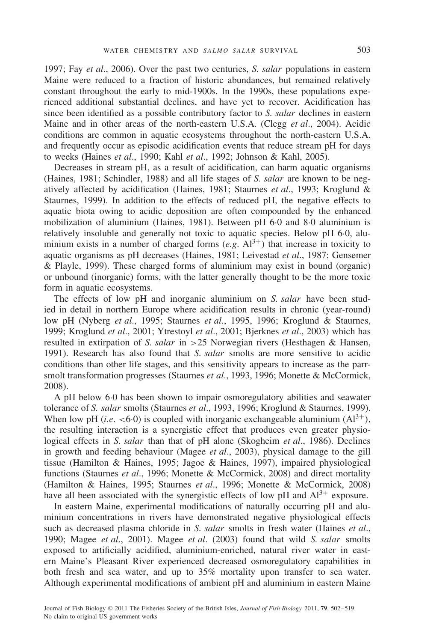1997; Fay *et al*., 2006). Over the past two centuries, *S. salar* populations in eastern Maine were reduced to a fraction of historic abundances, but remained relatively constant throughout the early to mid-1900s. In the 1990s, these populations experienced additional substantial declines, and have yet to recover. Acidification has since been identified as a possible contributory factor to *S. salar* declines in eastern Maine and in other areas of the north-eastern U.S.A. (Clegg *et al*., 2004). Acidic conditions are common in aquatic ecosystems throughout the north-eastern U.S.A. and frequently occur as episodic acidification events that reduce stream pH for days to weeks (Haines *et al*., 1990; Kahl *et al*., 1992; Johnson & Kahl, 2005).

Decreases in stream pH, as a result of acidification, can harm aquatic organisms (Haines, 1981; Schindler, 1988) and all life stages of *S. salar* are known to be negatively affected by acidification (Haines, 1981; Staurnes *et al*., 1993; Kroglund & Staurnes, 1999). In addition to the effects of reduced pH, the negative effects to aquatic biota owing to acidic deposition are often compounded by the enhanced mobilization of aluminium (Haines, 1981). Between pH 6·0 and 8·0 aluminium is relatively insoluble and generally not toxic to aquatic species. Below pH 6·0, aluminium exists in a number of charged forms  $(e.g. A<sup>3+</sup>)$  that increase in toxicity to aquatic organisms as pH decreases (Haines, 1981; Leivestad *et al*., 1987; Gensemer & Playle, 1999). These charged forms of aluminium may exist in bound (organic) or unbound (inorganic) forms, with the latter generally thought to be the more toxic form in aquatic ecosystems.

The effects of low pH and inorganic aluminium on *S. salar* have been studied in detail in northern Europe where acidification results in chronic (year-round) low pH (Nyberg *et al*., 1995; Staurnes *et al*., 1995, 1996; Kroglund & Staurnes, 1999; Kroglund *et al*., 2001; Ytrestoyl *et al*., 2001; Bjerknes *et al*., 2003) which has resulted in extirpation of *S. salar* in *>*25 Norwegian rivers (Hesthagen & Hansen, 1991). Research has also found that *S. salar* smolts are more sensitive to acidic conditions than other life stages, and this sensitivity appears to increase as the parrsmolt transformation progresses (Staurnes *et al*., 1993, 1996; Monette & McCormick, 2008).

A pH below 6·0 has been shown to impair osmoregulatory abilities and seawater tolerance of *S. salar* smolts (Staurnes *et al*., 1993, 1996; Kroglund & Staurnes, 1999). When low pH (*i.e.*  $<6.0$ ) is coupled with inorganic exchangeable aluminium (Al<sup>3+</sup>), the resulting interaction is a synergistic effect that produces even greater physiological effects in *S. salar* than that of pH alone (Skogheim *et al*., 1986). Declines in growth and feeding behaviour (Magee *et al*., 2003), physical damage to the gill tissue (Hamilton & Haines, 1995; Jagoe & Haines, 1997), impaired physiological functions (Staurnes *et al*., 1996; Monette & McCormick, 2008) and direct mortality (Hamilton & Haines, 1995; Staurnes *et al*., 1996; Monette & McCormick, 2008) have all been associated with the synergistic effects of low  $pH$  and  $Al^{3+}$  exposure.

In eastern Maine, experimental modifications of naturally occurring pH and aluminium concentrations in rivers have demonstrated negative physiological effects such as decreased plasma chloride in *S. salar* smolts in fresh water (Haines *et al*., 1990; Magee *et al*., 2001). Magee *et al*. (2003) found that wild *S. salar* smolts exposed to artificially acidified, aluminium-enriched, natural river water in eastern Maine's Pleasant River experienced decreased osmoregulatory capabilities in both fresh and sea water, and up to 35% mortality upon transfer to sea water. Although experimental modifications of ambient pH and aluminium in eastern Maine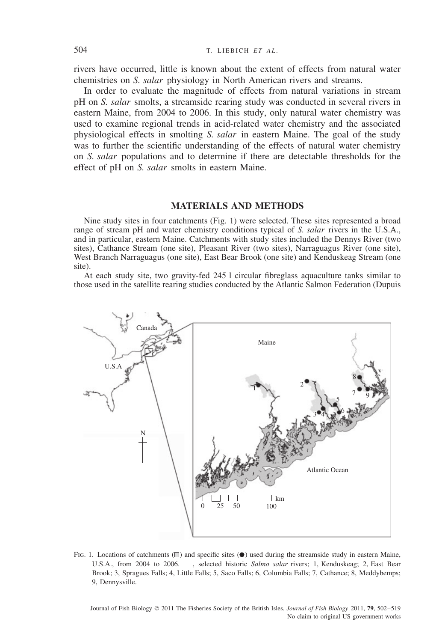rivers have occurred, little is known about the extent of effects from natural water chemistries on *S. salar* physiology in North American rivers and streams.

In order to evaluate the magnitude of effects from natural variations in stream pH on *S. salar* smolts, a streamside rearing study was conducted in several rivers in eastern Maine, from 2004 to 2006. In this study, only natural water chemistry was used to examine regional trends in acid-related water chemistry and the associated physiological effects in smolting *S. salar* in eastern Maine. The goal of the study was to further the scientific understanding of the effects of natural water chemistry on *S. salar* populations and to determine if there are detectable thresholds for the effect of pH on *S. salar* smolts in eastern Maine.

#### **MATERIALS AND METHODS**

Nine study sites in four catchments (Fig. 1) were selected. These sites represented a broad range of stream pH and water chemistry conditions typical of *S. salar* rivers in the U.S.A., and in particular, eastern Maine. Catchments with study sites included the Dennys River (two sites), Cathance Stream (one site), Pleasant River (two sites), Narraguagus River (one site), West Branch Narraguagus (one site), East Bear Brook (one site) and Kenduskeag Stream (one site).

At each study site, two gravity-fed 245 l circular fibreglass aquaculture tanks similar to those used in the satellite rearing studies conducted by the Atlantic Salmon Federation (Dupuis



FIG. 1. Locations of catchments  $(\Box)$  and specific sites  $(\bullet)$  used during the streamside study in eastern Maine, U.S.A., from 2004 to 2006. ..., selected historic *Salmo salar* rivers; 1, Kenduskeag; 2, East Bear Brook; 3, Spragues Falls; 4, Little Falls; 5, Saco Falls; 6, Columbia Falls; 7, Cathance; 8, Meddybemps; 9, Dennysville.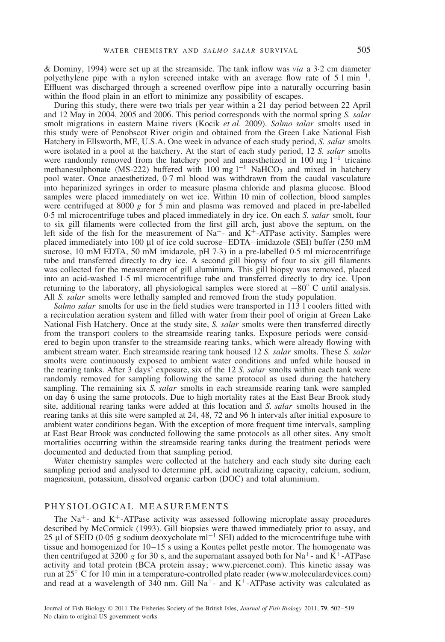& Dominy, 1994) were set up at the streamside. The tank inflow was *via* a 3·2 cm diameter polyethylene pipe with a nylon screened intake with an average flow rate of 5 l min−1. Effluent was discharged through a screened overflow pipe into a naturally occurring basin within the flood plain in an effort to minimize any possibility of escapes.

During this study, there were two trials per year within a 21 day period between 22 April and 12 May in 2004, 2005 and 2006. This period corresponds with the normal spring *S. salar* smolt migrations in eastern Maine rivers (Kocik *et al*. 2009). *Salmo salar* smolts used in this study were of Penobscot River origin and obtained from the Green Lake National Fish Hatchery in Ellsworth, ME, U.S.A. One week in advance of each study period, *S. salar* smolts were isolated in a pool at the hatchery. At the start of each study period, 12 *S. salar* smolts were randomly removed from the hatchery pool and anaesthetized in 100 mg  $l^{-1}$  tricaine methanesulphonate (MS-222) buffered with 100 mg  $l^{-1}$  NaHCO<sub>3</sub> and mixed in hatchery pool water. Once anaesthetized, 0·7 ml blood was withdrawn from the caudal vasculature into heparinized syringes in order to measure plasma chloride and plasma glucose. Blood samples were placed immediately on wet ice. Within 10 min of collection, blood samples were centrifuged at 8000 *g* for 5 min and plasma was removed and placed in pre-labelled 0·5 ml microcentrifuge tubes and placed immediately in dry ice. On each *S. salar* smolt, four to six gill filaments were collected from the first gill arch, just above the septum, on the left side of the fish for the measurement of  $Na<sup>+</sup>$ - and  $K<sup>+</sup>$ -ATPase activity. Samples were placed immediately into 100 μl of ice cold sucrose–EDTA–imidazole (SEI) buffer (250 mM sucrose, 10 mM EDTA, 50 mM imidazole, pH 7·3) in a pre-labelled 0·5 ml microcentrifuge tube and transferred directly to dry ice. A second gill biopsy of four to six gill filaments was collected for the measurement of gill aluminium. This gill biopsy was removed, placed into an acid-washed 1·5 ml microcentrifuge tube and transferred directly to dry ice. Upon returning to the laboratory, all physiological samples were stored at  $-80^\circ$ °C until analysis. All *S. salar* smolts were lethally sampled and removed from the study population.

*Salmo salar* smolts for use in the field studies were transported in 113 l coolers fitted with a recirculation aeration system and filled with water from their pool of origin at Green Lake National Fish Hatchery. Once at the study site, *S. salar* smolts were then transferred directly from the transport coolers to the streamside rearing tanks. Exposure periods were considered to begin upon transfer to the streamside rearing tanks, which were already flowing with ambient stream water. Each streamside rearing tank housed 12 *S. salar* smolts. These *S. salar* smolts were continuously exposed to ambient water conditions and unfed while housed in the rearing tanks. After 3 days' exposure, six of the 12 *S. salar* smolts within each tank were randomly removed for sampling following the same protocol as used during the hatchery sampling. The remaining six *S. salar* smolts in each streamside rearing tank were sampled on day 6 using the same protocols. Due to high mortality rates at the East Bear Brook study site, additional rearing tanks were added at this location and *S. salar* smolts housed in the rearing tanks at this site were sampled at 24, 48, 72 and 96 h intervals after initial exposure to ambient water conditions began. With the exception of more frequent time intervals, sampling at East Bear Brook was conducted following the same protocols as all other sites. Any smolt mortalities occurring within the streamside rearing tanks during the treatment periods were documented and deducted from that sampling period.

Water chemistry samples were collected at the hatchery and each study site during each sampling period and analysed to determine pH, acid neutralizing capacity, calcium, sodium, magnesium, potassium, dissolved organic carbon (DOC) and total aluminium.

#### PHYSIOLOGICAL MEASUREMENTS

The  $Na<sup>+</sup>$ - and  $K<sup>+</sup>$ -ATPase activity was assessed following microplate assay procedures described by McCormick (1993). Gill biopsies were thawed immediately prior to assay, and 25 μl of SEID (0·05 g sodium deoxycholate ml<sup>-1</sup> SEI) added to the microcentrifuge tube with tissue and homogenized for 10–15 s using a Kontes pellet pestle motor. The homogenate was then centrifuged at 3200 g for 30 s, and the supernatant assayed both for Na<sup>+</sup>- and K<sup>+</sup>-ATPase activity and total protein (BCA protein assay; www.piercenet.com). This kinetic assay was run at 25◦ C for 10 min in a temperature-controlled plate reader (www.moleculardevices.com) and read at a wavelength of  $340$  nm. Gill Na<sup>+</sup>- and K<sup>+</sup>-ATPase activity was calculated as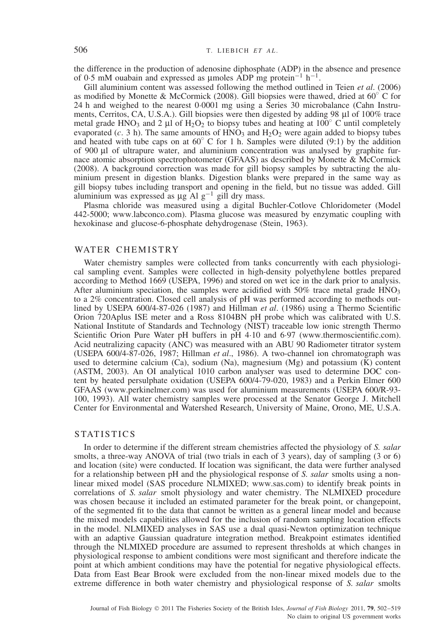the difference in the production of adenosine diphosphate (ADP) in the absence and presence of 0.5 mM ouabain and expressed as µmoles ADP mg protein<sup>-1</sup> h<sup>-1</sup>.

Gill aluminium content was assessed following the method outlined in Teien *et al*. (2006) as modified by Monette & McCormick (2008). Gill biopsies were thawed, dried at  $60^{\circ}$  C for 24 h and weighed to the nearest 0·0001 mg using a Series 30 microbalance (Cahn Instruments, Cerritos, CA, U.S.A.). Gill biopsies were then digested by adding 98 μl of 100% trace metal grade HNO<sub>3</sub> and 2 µl of H<sub>2</sub>O<sub>2</sub> to biopsy tubes and heating at  $100^{\circ}$  C until completely evaporated (*c*. 3 h). The same amounts of  $\widehat{HNO_3}$  and  $H_2O_2$  were again added to biopsy tubes and heated with tube caps on at  $60^\circ$  C for 1 h. Samples were diluted (9:1) by the addition of 900 μl of ultrapure water, and aluminium concentration was analysed by graphite furnace atomic absorption spectrophotometer (GFAAS) as described by Monette & McCormick (2008). A background correction was made for gill biopsy samples by subtracting the aluminium present in digestion blanks. Digestion blanks were prepared in the same way as gill biopsy tubes including transport and opening in the field, but no tissue was added. Gill aluminium was expressed as  $\mu$ g Al g<sup>-1</sup> gill dry mass.

Plasma chloride was measured using a digital Buchler-Cotlove Chloridometer (Model 442-5000; www.labconco.com). Plasma glucose was measured by enzymatic coupling with hexokinase and glucose-6-phosphate dehydrogenase (Stein, 1963).

#### WATER CHEMISTRY

Water chemistry samples were collected from tanks concurrently with each physiological sampling event. Samples were collected in high-density polyethylene bottles prepared according to Method 1669 (USEPA, 1996) and stored on wet ice in the dark prior to analysis. After aluminium speciation, the samples were acidified with 50% trace metal grade  $HNO<sub>3</sub>$ to a 2% concentration. Closed cell analysis of pH was performed according to methods outlined by USEPA 600/4-87-026 (1987) and Hillman *et al*. (1986) using a Thermo Scientific Orion 720Aplus ISE meter and a Ross 8104BN pH probe which was calibrated with U.S. National Institute of Standards and Technology (NIST) traceable low ionic strength Thermo Scientific Orion Pure Water pH buffers in pH 4.10 and 6.97 (www.thermoscientific.com). Acid neutralizing capacity (ANC) was measured with an ABU 90 Radiometer titrator system (USEPA 600/4-87-026, 1987; Hillman *et al*., 1986). A two-channel ion chromatograph was used to determine calcium (Ca), sodium (Na), magnesium (Mg) and potassium  $(K)$  content (ASTM, 2003). An OI analytical 1010 carbon analyser was used to determine DOC content by heated persulphate oxidation (USEPA 600/4-79-020, 1983) and a Perkin Elmer 600 GFAAS (www.perkinelmer.com) was used for aluminium measurements (USEPA 600/R-93- 100, 1993). All water chemistry samples were processed at the Senator George J. Mitchell Center for Environmental and Watershed Research, University of Maine, Orono, ME, U.S.A.

#### **STATISTICS**

In order to determine if the different stream chemistries affected the physiology of *S. salar* smolts, a three-way ANOVA of trial (two trials in each of 3 years), day of sampling (3 or 6) and location (site) were conducted. If location was significant, the data were further analysed for a relationship between pH and the physiological response of *S. salar* smolts using a nonlinear mixed model (SAS procedure NLMIXED; www.sas.com) to identify break points in correlations of *S. salar* smolt physiology and water chemistry. The NLMIXED procedure was chosen because it included an estimated parameter for the break point, or changepoint, of the segmented fit to the data that cannot be written as a general linear model and because the mixed models capabilities allowed for the inclusion of random sampling location effects in the model. NLMIXED analyses in SAS use a dual quasi-Newton optimization technique with an adaptive Gaussian quadrature integration method. Breakpoint estimates identified through the NLMIXED procedure are assumed to represent thresholds at which changes in physiological response to ambient conditions were most significant and therefore indicate the point at which ambient conditions may have the potential for negative physiological effects. Data from East Bear Brook were excluded from the non-linear mixed models due to the extreme difference in both water chemistry and physiological response of *S. salar* smolts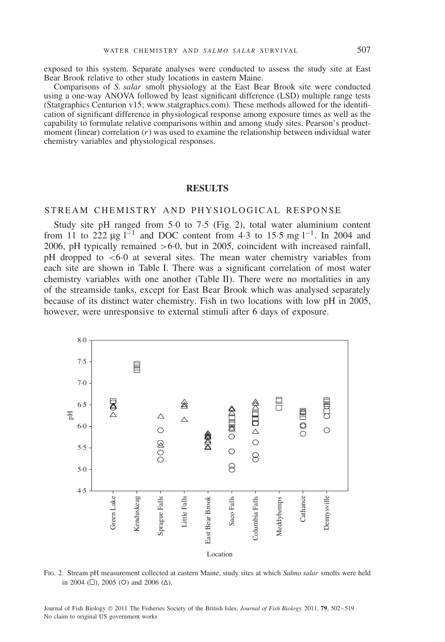exposed to this system. Separate analyses were conducted to assess the study site at East Bear Brook relative to other study locations in eastern Maine.

Comparisons of *S. salar* smolt physiology at the East Bear Brook site were conducted using a one-way ANOVA followed by least significant difference (LSD) multiple range tests (Statgraphics Centurion v15; www.statgraphics.com). These methods allowed for the identification of significant difference in physiological response among exposure times as well as the capability to formulate relative comparisons within and among study sites. Pearson's productmoment (linear) correlation (*r*) was used to examine the relationship between individual water chemistry variables and physiological responses.

#### **RESULTS**

## STREAM CHEMISTRY AND PHYSIOLOGICAL RESPONSE

Study site pH ranged from 5·0 to 7·5 (Fig. 2), total water aluminium content from 11 to 222 μg l<sup>-1</sup> and DOC content from 4.3 to 15.5 mg l<sup>-1</sup>. In 2004 and 2006, pH typically remained *>*6·0, but in 2005, coincident with increased rainfall, pH dropped to *<*6·0 at several sites. The mean water chemistry variables from each site are shown in Table I. There was a significant correlation of most water chemistry variables with one another (Table II). There were no mortalities in any of the streamside tanks, except for East Bear Brook which was analysed separately because of its distinct water chemistry. Fish in two locations with low pH in 2005, however, were unresponsive to external stimuli after 6 days of exposure.



Fig. 2. Stream pH measurement collected at eastern Maine, study sites at which *Salmo salar* smolts were held in 2004 ( $\square$ ), 2005 ( $\bigcirc$ ) and 2006 ( $\triangle$ ).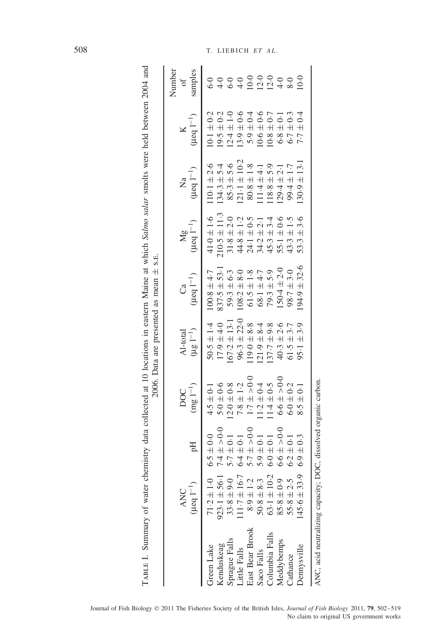|                                                                 |                              |               |                                                                                                                                                                                                                                                                                                        |                                                                                                                                                                                                                     | 2006. Data are presented as mean $\pm$ s.E.                                             |                          |                                                                                                                                                                                       |                                                                                                                                                                                                                                                                                                     |                         |
|-----------------------------------------------------------------|------------------------------|---------------|--------------------------------------------------------------------------------------------------------------------------------------------------------------------------------------------------------------------------------------------------------------------------------------------------------|---------------------------------------------------------------------------------------------------------------------------------------------------------------------------------------------------------------------|-----------------------------------------------------------------------------------------|--------------------------|---------------------------------------------------------------------------------------------------------------------------------------------------------------------------------------|-----------------------------------------------------------------------------------------------------------------------------------------------------------------------------------------------------------------------------------------------------------------------------------------------------|-------------------------|
|                                                                 | ( $\mu$ eq $1^{-1}$ )<br>ANC | H             | $\begin{array}{c} \text{DOC} \\ (\text{mg } l^{-1}) \end{array}$                                                                                                                                                                                                                                       | Al-total<br>( $\mu$ g l <sup>-1</sup> )                                                                                                                                                                             | ( $\mu$ eq $1^{-1}$ )<br>ි<br>උ                                                         | $M_g$<br>(µeq $1^{-1}$ ) | $\text{Na}$<br>(µeq $1^{-1}$ )                                                                                                                                                        | $K$<br>(µeq $1^{-1}$ )                                                                                                                                                                                                                                                                              | Number<br>of<br>samples |
| Green Lake                                                      | $71.2 \pm 1.0$               | $6.5 \pm 0.0$ | $4.5 \pm 0.1$                                                                                                                                                                                                                                                                                          | $50.5 \pm 1.4$                                                                                                                                                                                                      | $100.8 \pm 4.7$                                                                         | $41.0 \pm 1.6$           | $110.1 \pm 2.6$                                                                                                                                                                       | $\begin{array}{l} 10.71 \\ 11.74 \\ 12.75 \\ 13.74 \\ 14.75 \\ 15.76 \\ 16.77 \\ 17.77 \\ 18.78 \\ 19.77 \\ 19.79 \\ 10.71 \\ 11.71 \\ 12.72 \\ 13.73 \\ 14.74 \\ 15.74 \\ 16.75 \\ 17.74 \\ 18.77 \\ 19.74 \\ 19.74 \\ 19.75 \\ 19.74 \\ 19.75 \\ 19.74 \\ 19.75 \\ 19.74 \\ 19.75 \\ 19.74 \\ 19$ |                         |
| Kenduskeag                                                      | $923.1 \pm 56.1$             |               |                                                                                                                                                                                                                                                                                                        |                                                                                                                                                                                                                     | $837.5 \pm 53.1$                                                                        | $210.5 \pm 11.3$         |                                                                                                                                                                                       |                                                                                                                                                                                                                                                                                                     |                         |
| Sprague Falls                                                   | $33.8 \pm 9.0$               |               |                                                                                                                                                                                                                                                                                                        |                                                                                                                                                                                                                     | $59.3 \pm 6.3$                                                                          |                          |                                                                                                                                                                                       |                                                                                                                                                                                                                                                                                                     |                         |
| Little Falls                                                    | $111.7 \pm 16.7$             |               |                                                                                                                                                                                                                                                                                                        |                                                                                                                                                                                                                     |                                                                                         |                          |                                                                                                                                                                                       |                                                                                                                                                                                                                                                                                                     |                         |
| East Bear Brook                                                 | $8.9 \pm 1.2$                |               |                                                                                                                                                                                                                                                                                                        |                                                                                                                                                                                                                     |                                                                                         |                          |                                                                                                                                                                                       |                                                                                                                                                                                                                                                                                                     |                         |
| Saco Falls                                                      | $50.8 \pm 8.3$               |               |                                                                                                                                                                                                                                                                                                        |                                                                                                                                                                                                                     |                                                                                         |                          |                                                                                                                                                                                       |                                                                                                                                                                                                                                                                                                     |                         |
| Columbia Falls                                                  | $63.1 \pm 10.2$              |               |                                                                                                                                                                                                                                                                                                        |                                                                                                                                                                                                                     | $108.2 \pm 8.0$<br>$61.5 \pm 1.8$<br>$68.1 \pm 4.7$<br>$79.3 \pm 5.9$<br>$79.3 \pm 5.9$ |                          | $\begin{array}{l} 134.3 \pm 5.4 \\ 85.3 \pm 5.6 \\ 85.3 \pm 5.6 \\ 121.1 \pm 10.2 \\ 80.8 \pm 1.3 \\ 111.4 \pm 1.9 \\ 111.4 \pm 1.9 \\ 118.8 \pm 2.1 \\ 129.4 \pm 1.7 \\ \end{array}$ |                                                                                                                                                                                                                                                                                                     |                         |
| Meddybemps                                                      | $85.8 \pm 0.9$               |               |                                                                                                                                                                                                                                                                                                        |                                                                                                                                                                                                                     |                                                                                         |                          |                                                                                                                                                                                       |                                                                                                                                                                                                                                                                                                     |                         |
| Cathance                                                        | $55.8 \pm 2.5$               |               | $\begin{array}{l} 5.0 + 0.6 \\ 2.0 + 0.8 \\ 3.0 + 1.2 \\ 4.0 - 0.3 \\ 5.0 - 0.3 \\ 6.0 - 0.3 \\ 7.0 - 0.3 \\ 7.0 - 0.3 \\ 8.0 - 0.3 \\ 9.0 - 0.3 \\ 1.2 + 0.3 \\ 1.2 + 0.3 \\ 1.3 + 0.3 \\ 1.4 + 0.3 \\ 1.5 - 0.3 \\ 1.6 - 0.3 \\ 1.7 - 0.3 \\ 1.8 - 0.3 \\ 1.9 - 0.3 \\ 1.9 - 0.3 \\ 1.1 - 0.3 \\ 1.$ | $\begin{array}{c} 17.9 \pm 4.0 \\ 167.2 \pm 13.1 \\ 96.3 \pm 22.0 \\ 19.0 \pm 2.3 \\ 119.0 \pm 2.3 \\ 121.9 \pm 2.3 \\ 13.7 \pm 2.3 \\ 14.3 \pm 2.5 \\ 15.7 \pm 2.3 \\ 16.5 \pm 2.5 \\ 60.5 \pm 3.3 \\ \end{array}$ | $98.7 \pm 3.0$<br>194.9 ± 32.6                                                          |                          |                                                                                                                                                                                       |                                                                                                                                                                                                                                                                                                     |                         |
| Dennysville                                                     | $45.6 \pm 33.9$              | $6.9 \pm 0.3$ |                                                                                                                                                                                                                                                                                                        |                                                                                                                                                                                                                     |                                                                                         |                          | $130.9 \pm 13.1$                                                                                                                                                                      |                                                                                                                                                                                                                                                                                                     |                         |
| ANC, acid neutralizing capacity; DOC, dissolved organic carbon. |                              |               |                                                                                                                                                                                                                                                                                                        |                                                                                                                                                                                                                     |                                                                                         |                          |                                                                                                                                                                                       |                                                                                                                                                                                                                                                                                                     |                         |

Table I. Summary of water chemistry data collected at 10 locations in eastern Maine at which *Salmo salar* smolts were held between 2004 and

508 T. LIEBICH *ET AL* .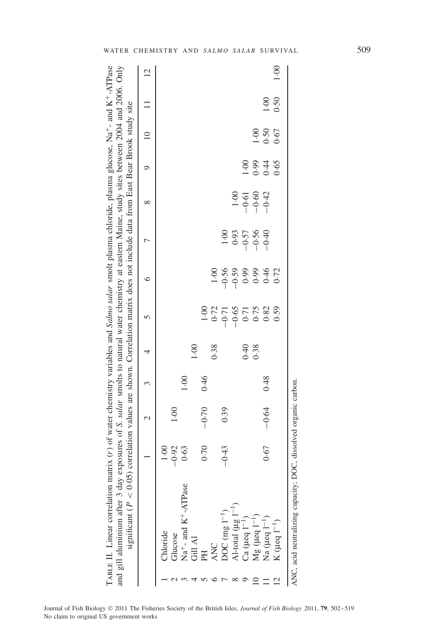| 0.50<br>1.00<br>0.50<br>1.00<br>0.67<br>0.99<br>1.00<br>0.44<br>$-0.60$<br>1.00<br>$-0.42$<br>$-0.61$<br>$-0.56$<br>$1.00\,$<br>0.93<br>$-0.57$<br>$-0.40$<br>$-0.56$<br>$-0.59$<br>0.99<br>0.99<br>0.46<br>1.00<br>0.72<br>0.59<br>$-0.65$<br>17:0<br>17:0<br>0.82<br>0.72<br>00.1<br>$-0.71$<br>0.38<br>0.38<br>$\overline{00}$ .<br>0.40<br>$\overline{0}$ .1<br>0.46<br>0.48<br>ANC, acid neutralizing capacity; DOC, dissolved organic carbon<br>$-0.64$<br>$-0.70$<br>0.39<br>1.00<br>0.67<br>0.70<br>$-0.92$<br>1.00<br>$-0.43$<br>0.63<br>$Na^+$ - and $K^+$ -ATPase<br>$\Delta l$ -total ( $\mu$ g $l^{-1}$ )<br>$30C (mg 1^{-1})$<br>$Mg$ ( $\mu$ eq $1^{-1}$ )<br>Na ( $\mu$ eq $1^{-1}$ )<br>$Ca$ ( $\mu$ eq $1^{-1}$ )<br>K ( $\mu$ eq $1^{-1}$ )<br>Chloride<br>Glucose<br>Gill Al<br>ANC<br>H | 4<br>3 | 5 | ৩ | Γ | $\infty$ | ᡋ | $\overline{10}$ | $\overline{12}$ |
|--------------------------------------------------------------------------------------------------------------------------------------------------------------------------------------------------------------------------------------------------------------------------------------------------------------------------------------------------------------------------------------------------------------------------------------------------------------------------------------------------------------------------------------------------------------------------------------------------------------------------------------------------------------------------------------------------------------------------------------------------------------------------------------------------------------|--------|---|---|---|----------|---|-----------------|-----------------|
|                                                                                                                                                                                                                                                                                                                                                                                                                                                                                                                                                                                                                                                                                                                                                                                                              |        |   |   |   |          |   |                 |                 |
|                                                                                                                                                                                                                                                                                                                                                                                                                                                                                                                                                                                                                                                                                                                                                                                                              |        |   |   |   |          |   |                 |                 |
|                                                                                                                                                                                                                                                                                                                                                                                                                                                                                                                                                                                                                                                                                                                                                                                                              |        |   |   |   |          |   |                 |                 |
|                                                                                                                                                                                                                                                                                                                                                                                                                                                                                                                                                                                                                                                                                                                                                                                                              |        |   |   |   |          |   |                 |                 |
|                                                                                                                                                                                                                                                                                                                                                                                                                                                                                                                                                                                                                                                                                                                                                                                                              |        |   |   |   |          |   |                 |                 |
|                                                                                                                                                                                                                                                                                                                                                                                                                                                                                                                                                                                                                                                                                                                                                                                                              |        |   |   |   |          |   |                 |                 |
|                                                                                                                                                                                                                                                                                                                                                                                                                                                                                                                                                                                                                                                                                                                                                                                                              |        |   |   |   |          |   |                 |                 |
|                                                                                                                                                                                                                                                                                                                                                                                                                                                                                                                                                                                                                                                                                                                                                                                                              |        |   |   |   |          |   |                 |                 |
|                                                                                                                                                                                                                                                                                                                                                                                                                                                                                                                                                                                                                                                                                                                                                                                                              |        |   |   |   |          |   |                 |                 |
|                                                                                                                                                                                                                                                                                                                                                                                                                                                                                                                                                                                                                                                                                                                                                                                                              |        |   |   |   |          |   |                 |                 |
|                                                                                                                                                                                                                                                                                                                                                                                                                                                                                                                                                                                                                                                                                                                                                                                                              |        |   |   |   |          |   |                 |                 |
|                                                                                                                                                                                                                                                                                                                                                                                                                                                                                                                                                                                                                                                                                                                                                                                                              |        |   |   |   |          |   |                 | $1.00\,$        |
|                                                                                                                                                                                                                                                                                                                                                                                                                                                                                                                                                                                                                                                                                                                                                                                                              |        |   |   |   |          |   |                 |                 |
|                                                                                                                                                                                                                                                                                                                                                                                                                                                                                                                                                                                                                                                                                                                                                                                                              |        |   |   |   |          |   |                 |                 |

WATER CHEMISTRY AND *SALMO SALAR* SURVIVAL 509

#### Journal of Fish Biology © 2011 The Fisheries Society of the British Isles, *Journal of Fish Biology* 2011, **79**, 502–519 No claim to original US government works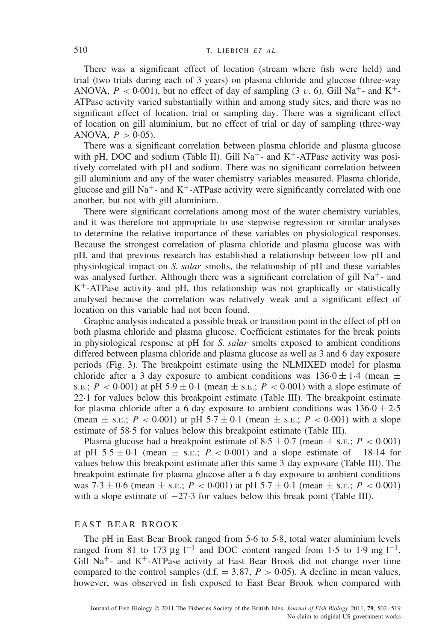There was a significant effect of location (stream where fish were held) and trial (two trials during each of 3 years) on plasma chloride and glucose (three-way ANOVA,  $P < 0.001$ ), but no effect of day of sampling (3 *v*. 6). Gill Na<sup>+</sup>- and K<sup>+</sup>-ATPase activity varied substantially within and among study sites, and there was no significant effect of location, trial or sampling day. There was a significant effect of location on gill aluminium, but no effect of trial or day of sampling (three-way ANOVA,  $P > 0.05$ ).

There was a significant correlation between plasma chloride and plasma glucose with pH, DOC and sodium (Table II). Gill Na<sup>+</sup>- and K<sup>+</sup>-ATPase activity was positively correlated with pH and sodium. There was no significant correlation between gill aluminium and any of the water chemistry variables measured. Plasma chloride, glucose and gill  $Na<sup>+</sup>$ - and  $K<sup>+</sup>$ -ATPase activity were significantly correlated with one another, but not with gill aluminium.

There were significant correlations among most of the water chemistry variables, and it was therefore not appropriate to use stepwise regression or similar analyses to determine the relative importance of these variables on physiological responses. Because the strongest correlation of plasma chloride and plasma glucose was with pH, and that previous research has established a relationship between low pH and physiological impact on *S. salar* smolts, the relationship of pH and these variables was analysed further. Although there was a significant correlation of gill  $Na<sup>+</sup>$ - and  $K^+$ -ATPase activity and pH, this relationship was not graphically or statistically analysed because the correlation was relatively weak and a significant effect of location on this variable had not been found.

Graphic analysis indicated a possible break or transition point in the effect of pH on both plasma chloride and plasma glucose. Coefficient estimates for the break points in physiological response at pH for *S. salar* smolts exposed to ambient conditions differed between plasma chloride and plasma glucose as well as 3 and 6 day exposure periods (Fig. 3). The breakpoint estimate using the NLMIXED model for plasma chloride after a 3 day exposure to ambient conditions was  $136.0 \pm 1.4$  (mean  $\pm$ s.e.;  $P < 0.001$  at pH 5.9  $\pm$  0.1 (mean  $\pm$  s.e.;  $P < 0.001$ ) with a slope estimate of 22·1 for values below this breakpoint estimate (Table III). The breakpoint estimate for plasma chloride after a 6 day exposure to ambient conditions was  $136.0 \pm 2.5$ (mean  $\pm$  s.e.; *P* < 0.001) at pH 5.7  $\pm$  0.1 (mean  $\pm$  s.e.; *P* < 0.001) with a slope estimate of 58·5 for values below this breakpoint estimate (Table III).

Plasma glucose had a breakpoint estimate of  $8.5 \pm 0.7$  (mean  $\pm$  s.e.;  $P < 0.001$ ) at pH  $5.5 \pm 0.1$  (mean  $\pm$  s.e.; *P* < 0.001) and a slope estimate of −18.14 for values below this breakpoint estimate after this same 3 day exposure (Table III). The breakpoint estimate for plasma glucose after a 6 day exposure to ambient conditions was 7·3 ± 0·6 (mean ± s.e.; *P <* 0·001) at pH 5·7 ± 0·1 (mean ± s.e.; *P <* 0·001) with a slope estimate of  $-27.3$  for values below this break point (Table III).

#### EAST BEAR BROOK

The pH in East Bear Brook ranged from 5·6 to 5·8, total water aluminium levels ranged from 81 to 173 μg l<sup>-1</sup> and DOC content ranged from 1·5 to 1·9 mg l<sup>-1</sup>. Gill  $Na<sup>+</sup>$ - and  $K<sup>+</sup>$ -ATPase activity at East Bear Brook did not change over time compared to the control samples (d.f.  $= 3.87, P > 0.05$ ). A decline in mean values, however, was observed in fish exposed to East Bear Brook when compared with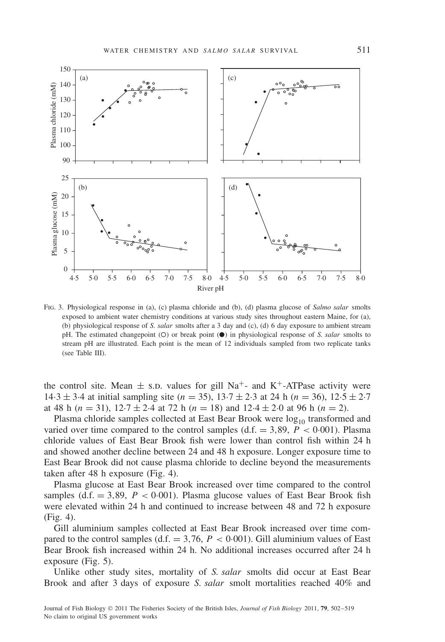

Fig. 3. Physiological response in (a), (c) plasma chloride and (b), (d) plasma glucose of *Salmo salar* smolts exposed to ambient water chemistry conditions at various study sites throughout eastern Maine, for (a), (b) physiological response of *S. salar* smolts after a 3 day and (c), (d) 6 day exposure to ambient stream pH. The estimated changepoint (O) or break point ( $\bullet$ ) in physiological response of *S. salar* smolts to stream pH are illustrated. Each point is the mean of 12 individuals sampled from two replicate tanks (see Table III).

the control site. Mean  $\pm$  s.p. values for gill Na<sup>+</sup>- and K<sup>+</sup>-ATPase activity were 14.3  $\pm$  3.4 at initial sampling site (*n* = 35), 13.7  $\pm$  2.3 at 24 h (*n* = 36), 12.5  $\pm$  2.7 at 48 h  $(n = 31)$ ,  $12.7 \pm 2.4$  at 72 h  $(n = 18)$  and  $12.4 \pm 2.0$  at 96 h  $(n = 2)$ .

Plasma chloride samples collected at East Bear Brook were  $log_{10}$  transformed and varied over time compared to the control samples  $(d.f. = 3,89, P < 0.001)$ . Plasma chloride values of East Bear Brook fish were lower than control fish within 24 h and showed another decline between 24 and 48 h exposure. Longer exposure time to East Bear Brook did not cause plasma chloride to decline beyond the measurements taken after 48 h exposure (Fig. 4).

Plasma glucose at East Bear Brook increased over time compared to the control samples  $(d.f. = 3,89, P < 0.001)$ . Plasma glucose values of East Bear Brook fish were elevated within 24 h and continued to increase between 48 and 72 h exposure (Fig. 4).

Gill aluminium samples collected at East Bear Brook increased over time compared to the control samples (d.f.  $=$  3,76,  $P < 0.001$ ). Gill aluminium values of East Bear Brook fish increased within 24 h. No additional increases occurred after 24 h exposure (Fig. 5).

Unlike other study sites, mortality of *S. salar* smolts did occur at East Bear Brook and after 3 days of exposure *S. salar* smolt mortalities reached 40% and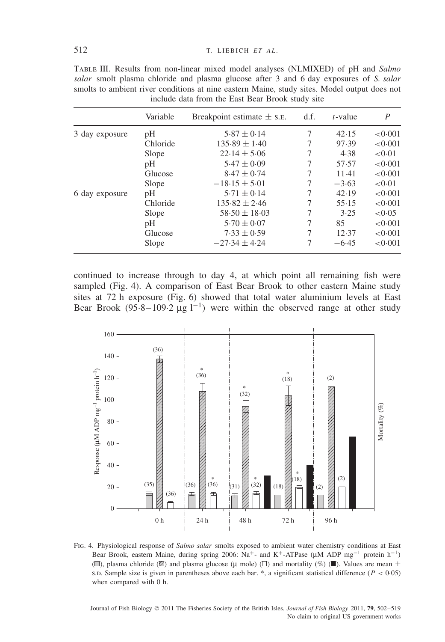|                | Variable | Breakpoint estimate $\pm$ s.e. | d.f. | $t$ -value | $\boldsymbol{P}$ |
|----------------|----------|--------------------------------|------|------------|------------------|
| 3 day exposure | pH       | $5.87 \pm 0.14$                | 7    | 42.15      | < 0.001          |
|                | Chloride | $135.89 \pm 1.40$              | 7    | 97.39      | < 0.001          |
|                | Slope    | $22.14 \pm 5.06$               |      | 4.38       | < 0.01           |
|                | pH       | $5.47 \pm 0.09$                | 7    | 57.57      | < 0.001          |
|                | Glucose  | $8.47 \pm 0.74$                | 7    | $11-41$    | < 0.001          |
|                | Slope    | $-18.15 \pm 5.01$              | 7    | $-3.63$    | < 0.01           |
| 6 day exposure | pH       | $5.71 \pm 0.14$                | 7    | 42.19      | < 0.001          |
|                | Chloride | $135.82 \pm 2.46$              | 7    | 55.15      | < 0.001          |
|                | Slope    | $58.50 \pm 18.03$              | 7    | 3.25       | < 0.05           |
|                | pH       | $5.70 \pm 0.07$                | 7    | 85         | < 0.001          |
|                | Glucose  | $7.33 \pm 0.59$                | 7    | 12.37      | < 0.001          |
|                | Slope    | $-27.34 \pm 4.24$              | 7    | $-6.45$    | < 0.001          |

Table III. Results from non-linear mixed model analyses (NLMIXED) of pH and *Salmo salar* smolt plasma chloride and plasma glucose after 3 and 6 day exposures of *S. salar* smolts to ambient river conditions at nine eastern Maine, study sites. Model output does not include data from the East Bear Brook study site

continued to increase through to day 4, at which point all remaining fish were sampled (Fig. 4). A comparison of East Bear Brook to other eastern Maine study sites at 72 h exposure (Fig. 6) showed that total water aluminium levels at East Bear Brook (95.8–109.2 μg l<sup>-1</sup>) were within the observed range at other study



Fig. 4. Physiological response of *Salmo salar* smolts exposed to ambient water chemistry conditions at East Bear Brook, eastern Maine, during spring 2006: Na+- and K+-ATPase (μM ADP mg−<sup>1</sup> protein h−1*)* ( $\Box$ ), plasma chloride ( $\Box$ ) and plasma glucose ( $\mu$  mole) ( $\Box$ ) and mortality (%) ( $\blacksquare$ ). Values are mean  $\pm$ s.d. Sample size is given in parentheses above each bar. \*, a significant statistical difference (*P <* 0·05) when compared with 0 h.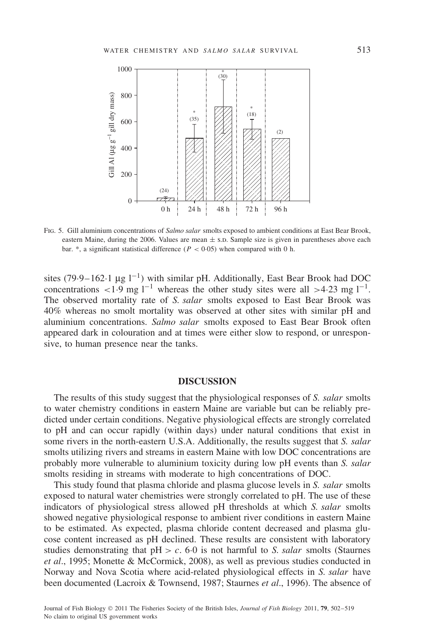

Fig. 5. Gill aluminium concentrations of *Salmo salar* smolts exposed to ambient conditions at East Bear Brook, eastern Maine, during the 2006. Values are mean  $\pm$  s.p. Sample size is given in parentheses above each bar.  $*$ , a significant statistical difference ( $P < 0.05$ ) when compared with 0 h.

sites (79·9–162·1 µg  $l^{-1}$ ) with similar pH. Additionally, East Bear Brook had DOC concentrations  $\langle 1.9 \text{ mg } 1^{-1}$  whereas the other study sites were all >4·23 mg l<sup>-1</sup>. The observed mortality rate of *S. salar* smolts exposed to East Bear Brook was 40% whereas no smolt mortality was observed at other sites with similar pH and aluminium concentrations. *Salmo salar* smolts exposed to East Bear Brook often appeared dark in colouration and at times were either slow to respond, or unresponsive, to human presence near the tanks.

#### **DISCUSSION**

The results of this study suggest that the physiological responses of *S. salar* smolts to water chemistry conditions in eastern Maine are variable but can be reliably predicted under certain conditions. Negative physiological effects are strongly correlated to pH and can occur rapidly (within days) under natural conditions that exist in some rivers in the north-eastern U.S.A. Additionally, the results suggest that *S. salar* smolts utilizing rivers and streams in eastern Maine with low DOC concentrations are probably more vulnerable to aluminium toxicity during low pH events than *S. salar* smolts residing in streams with moderate to high concentrations of DOC.

This study found that plasma chloride and plasma glucose levels in *S. salar* smolts exposed to natural water chemistries were strongly correlated to pH. The use of these indicators of physiological stress allowed pH thresholds at which *S. salar* smolts showed negative physiological response to ambient river conditions in eastern Maine to be estimated. As expected, plasma chloride content decreased and plasma glucose content increased as pH declined. These results are consistent with laboratory studies demonstrating that  $pH > c$ . 6.0 is not harmful to *S. salar* smolts (Staurnes *et al*., 1995; Monette & McCormick, 2008), as well as previous studies conducted in Norway and Nova Scotia where acid-related physiological effects in *S. salar* have been documented (Lacroix & Townsend, 1987; Staurnes *et al*., 1996). The absence of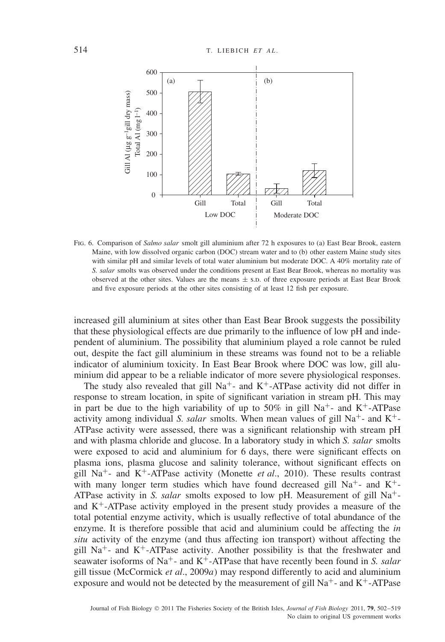

Fig. 6. Comparison of *Salmo salar* smolt gill aluminium after 72 h exposures to (a) East Bear Brook, eastern Maine, with low dissolved organic carbon (DOC) stream water and to (b) other eastern Maine study sites with similar pH and similar levels of total water aluminium but moderate DOC. A 40% mortality rate of *S. salar* smolts was observed under the conditions present at East Bear Brook, whereas no mortality was observed at the other sites. Values are the means  $\pm$  s.D. of three exposure periods at East Bear Brook and five exposure periods at the other sites consisting of at least 12 fish per exposure.

increased gill aluminium at sites other than East Bear Brook suggests the possibility that these physiological effects are due primarily to the influence of low pH and independent of aluminium. The possibility that aluminium played a role cannot be ruled out, despite the fact gill aluminium in these streams was found not to be a reliable indicator of aluminium toxicity. In East Bear Brook where DOC was low, gill aluminium did appear to be a reliable indicator of more severe physiological responses.

The study also revealed that gill  $Na<sup>+</sup>$ - and  $K<sup>+</sup>$ -ATPase activity did not differ in response to stream location, in spite of significant variation in stream pH. This may in part be due to the high variability of up to  $50\%$  in gill Na<sup>+</sup>- and K<sup>+</sup>-ATPase activity among individual *S. salar* smolts. When mean values of gill Na<sup>+</sup>- and K<sup>+</sup>-ATPase activity were assessed, there was a significant relationship with stream pH and with plasma chloride and glucose. In a laboratory study in which *S. salar* smolts were exposed to acid and aluminium for 6 days, there were significant effects on plasma ions, plasma glucose and salinity tolerance, without significant effects on gill  $Na<sup>+</sup>$ - and  $K<sup>+</sup>$ -ATPase activity (Monette *et al.*, 2010). These results contrast with many longer term studies which have found decreased gill  $Na<sup>+</sup>$ - and  $K<sup>+</sup>$ -ATPase activity in *S. salar* smolts exposed to low pH. Measurement of gill Na+ and  $K<sup>+</sup>$ -ATPase activity employed in the present study provides a measure of the total potential enzyme activity, which is usually reflective of total abundance of the enzyme. It is therefore possible that acid and aluminium could be affecting the *in situ* activity of the enzyme (and thus affecting ion transport) without affecting the gill  $Na<sup>+</sup>$ - and  $K<sup>+</sup>$ -ATPase activity. Another possibility is that the freshwater and seawater isoforms of Na+- and K+-ATPase that have recently been found in *S. salar* gill tissue (McCormick *et al*., 2009*a)* may respond differently to acid and aluminium exposure and would not be detected by the measurement of gill  $Na<sup>+</sup>$ - and  $K<sup>+</sup>$ -ATPase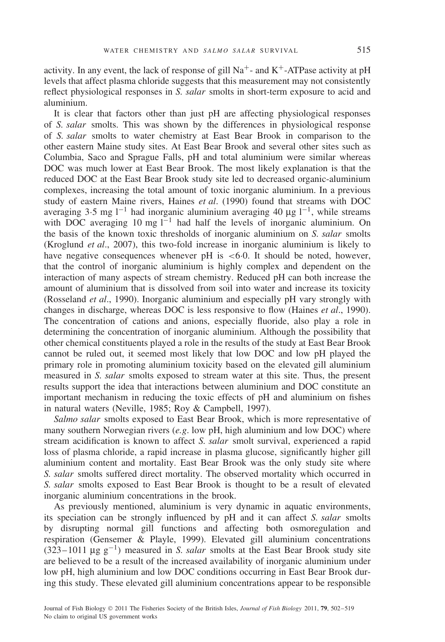activity. In any event, the lack of response of gill  $Na<sup>+</sup>$ - and  $K<sup>+</sup>$ -ATPase activity at pH levels that affect plasma chloride suggests that this measurement may not consistently reflect physiological responses in *S. salar* smolts in short-term exposure to acid and aluminium.

It is clear that factors other than just pH are affecting physiological responses of *S. salar* smolts. This was shown by the differences in physiological response of *S. salar* smolts to water chemistry at East Bear Brook in comparison to the other eastern Maine study sites. At East Bear Brook and several other sites such as Columbia, Saco and Sprague Falls, pH and total aluminium were similar whereas DOC was much lower at East Bear Brook. The most likely explanation is that the reduced DOC at the East Bear Brook study site led to decreased organic-aluminium complexes, increasing the total amount of toxic inorganic aluminium. In a previous study of eastern Maine rivers, Haines *et al*. (1990) found that streams with DOC averaging 3·5 mg l<sup>−1</sup> had inorganic aluminium averaging 40 μg l<sup>−1</sup>, while streams with DOC averaging 10 mg  $l^{-1}$  had half the levels of inorganic aluminium. On the basis of the known toxic thresholds of inorganic aluminium on *S. salar* smolts (Kroglund *et al*., 2007), this two-fold increase in inorganic aluminium is likely to have negative consequences whenever pH is *<*6·0. It should be noted, however, that the control of inorganic aluminium is highly complex and dependent on the interaction of many aspects of stream chemistry. Reduced pH can both increase the amount of aluminium that is dissolved from soil into water and increase its toxicity (Rosseland *et al*., 1990). Inorganic aluminium and especially pH vary strongly with changes in discharge, whereas DOC is less responsive to flow (Haines *et al*., 1990). The concentration of cations and anions, especially fluoride, also play a role in determining the concentration of inorganic aluminium. Although the possibility that other chemical constituents played a role in the results of the study at East Bear Brook cannot be ruled out, it seemed most likely that low DOC and low pH played the primary role in promoting aluminium toxicity based on the elevated gill aluminium measured in *S. salar* smolts exposed to stream water at this site. Thus, the present results support the idea that interactions between aluminium and DOC constitute an important mechanism in reducing the toxic effects of pH and aluminium on fishes in natural waters (Neville, 1985; Roy & Campbell, 1997).

*Salmo salar* smolts exposed to East Bear Brook, which is more representative of many southern Norwegian rivers (*e.g*. low pH, high aluminium and low DOC) where stream acidification is known to affect *S. salar* smolt survival, experienced a rapid loss of plasma chloride, a rapid increase in plasma glucose, significantly higher gill aluminium content and mortality. East Bear Brook was the only study site where *S. salar* smolts suffered direct mortality. The observed mortality which occurred in *S. salar* smolts exposed to East Bear Brook is thought to be a result of elevated inorganic aluminium concentrations in the brook.

As previously mentioned, aluminium is very dynamic in aquatic environments, its speciation can be strongly influenced by pH and it can affect *S. salar* smolts by disrupting normal gill functions and affecting both osmoregulation and respiration (Gensemer & Playle, 1999). Elevated gill aluminium concentrations (323–1011 μg g−1*)* measured in *S. salar* smolts at the East Bear Brook study site are believed to be a result of the increased availability of inorganic aluminium under low pH, high aluminium and low DOC conditions occurring in East Bear Brook during this study. These elevated gill aluminium concentrations appear to be responsible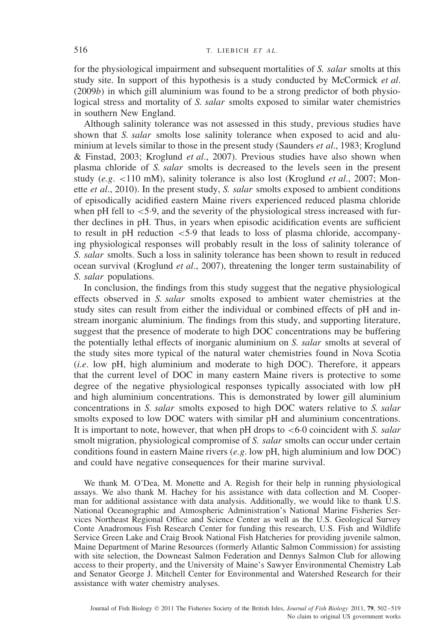for the physiological impairment and subsequent mortalities of *S. salar* smolts at this study site. In support of this hypothesis is a study conducted by McCormick *et al*. (2009*b)* in which gill aluminium was found to be a strong predictor of both physiological stress and mortality of *S. salar* smolts exposed to similar water chemistries in southern New England.

Although salinity tolerance was not assessed in this study, previous studies have shown that *S. salar* smolts lose salinity tolerance when exposed to acid and aluminium at levels similar to those in the present study (Saunders *et al*., 1983; Kroglund & Finstad, 2003; Kroglund *et al*., 2007). Previous studies have also shown when plasma chloride of *S. salar* smolts is decreased to the levels seen in the present study (*e.g*. *<*110 mM), salinity tolerance is also lost (Kroglund *et al*., 2007; Monette *et al*., 2010). In the present study, *S. salar* smolts exposed to ambient conditions of episodically acidified eastern Maine rivers experienced reduced plasma chloride when pH fell to  $\lt$ 5.9, and the severity of the physiological stress increased with further declines in pH. Thus, in years when episodic acidification events are sufficient to result in pH reduction *<*5·9 that leads to loss of plasma chloride, accompanying physiological responses will probably result in the loss of salinity tolerance of *S. salar* smolts. Such a loss in salinity tolerance has been shown to result in reduced ocean survival (Kroglund *et al*., 2007), threatening the longer term sustainability of *S. salar* populations.

In conclusion, the findings from this study suggest that the negative physiological effects observed in *S. salar* smolts exposed to ambient water chemistries at the study sites can result from either the individual or combined effects of pH and instream inorganic aluminium. The findings from this study, and supporting literature, suggest that the presence of moderate to high DOC concentrations may be buffering the potentially lethal effects of inorganic aluminium on *S. salar* smolts at several of the study sites more typical of the natural water chemistries found in Nova Scotia (*i.e*. low pH, high aluminium and moderate to high DOC). Therefore, it appears that the current level of DOC in many eastern Maine rivers is protective to some degree of the negative physiological responses typically associated with low pH and high aluminium concentrations. This is demonstrated by lower gill aluminium concentrations in *S. salar* smolts exposed to high DOC waters relative to *S. salar* smolts exposed to low DOC waters with similar pH and aluminium concentrations. It is important to note, however, that when pH drops to *<*6·0 coincident with *S. salar* smolt migration, physiological compromise of *S. salar* smolts can occur under certain conditions found in eastern Maine rivers (*e.g*. low pH, high aluminium and low DOC) and could have negative consequences for their marine survival.

We thank M. O'Dea, M. Monette and A. Regish for their help in running physiological assays. We also thank M. Hachey for his assistance with data collection and M. Cooperman for additional assistance with data analysis. Additionally, we would like to thank  $\hat{U}.S$ . National Oceanographic and Atmospheric Administration's National Marine Fisheries Services Northeast Regional Office and Science Center as well as the U.S. Geological Survey Conte Anadromous Fish Research Center for funding this research, U.S. Fish and Wildlife Service Green Lake and Craig Brook National Fish Hatcheries for providing juvenile salmon, Maine Department of Marine Resources (formerly Atlantic Salmon Commission) for assisting with site selection, the Downeast Salmon Federation and Dennys Salmon Club for allowing access to their property, and the University of Maine's Sawyer Environmental Chemistry Lab and Senator George J. Mitchell Center for Environmental and Watershed Research for their assistance with water chemistry analyses.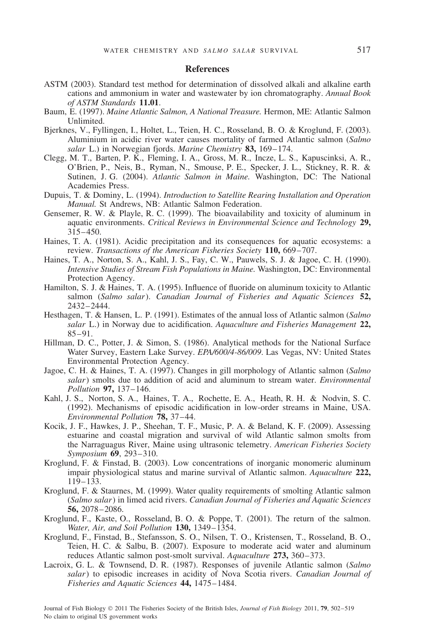#### **References**

- ASTM (2003). Standard test method for determination of dissolved alkali and alkaline earth cations and ammonium in water and wastewater by ion chromatography. *Annual Book of ASTM Standards* **11.01**.
- Baum, E. (1997). *Maine Atlantic Salmon, A National Treasure.* Hermon, ME: Atlantic Salmon Unlimited.
- Bjerknes, V., Fyllingen, I., Holtet, L., Teien, H. C., Rosseland, B. O. & Kroglund, F. (2003). Aluminium in acidic river water causes mortality of farmed Atlantic salmon (*Salmo salar* L.) in Norwegian fjords. *Marine Chemistry* **83,** 169–174.
- Clegg, M. T., Barten, P. K., Fleming, I. A., Gross, M. R., Incze, L. S., Kapuscinksi, A. R., O'Brien, P., Neis, B., Ryman, N., Smouse, P. E., Specker, J. L., Stickney, R. R. & Sutinen, J. G. (2004). *Atlantic Salmon in Maine.* Washington, DC: The National Academies Press.
- Dupuis, T. & Dominy, L. (1994). *Introduction to Satellite Rearing Installation and Operation Manual.* St Andrews, NB: Atlantic Salmon Federation.
- Gensemer, R. W. & Playle, R. C. (1999). The bioavailability and toxicity of aluminum in aquatic environments. *Critical Reviews in Environmental Science and Technology* **29,**  $315 - 450$ .
- Haines, T. A. (1981). Acidic precipitation and its consequences for aquatic ecosystems: a review. *Transactions of the American Fisheries Society* **110,** 669–707.
- Haines, T. A., Norton, S. A., Kahl, J. S., Fay, C. W., Pauwels, S. J. & Jagoe, C. H. (1990). *Intensive Studies of Stream Fish Populations in Maine.* Washington, DC: Environmental Protection Agency.
- Hamilton, S. J. & Haines, T. A. (1995). Influence of fluoride on aluminum toxicity to Atlantic salmon (*Salmo salar*). *Canadian Journal of Fisheries and Aquatic Sciences* **52,** 2432–2444.
- Hesthagen, T. & Hansen, L. P. (1991). Estimates of the annual loss of Atlantic salmon (*Salmo salar* L.) in Norway due to acidification. *Aquaculture and Fisheries Management* **22,** 85–91.
- Hillman, D. C., Potter, J. & Simon, S. (1986). Analytical methods for the National Surface Water Survey, Eastern Lake Survey. *EPA/600/4-86/009*. Las Vegas, NV: United States Environmental Protection Agency.
- Jagoe, C. H. & Haines, T. A. (1997). Changes in gill morphology of Atlantic salmon (*Salmo salar*) smolts due to addition of acid and aluminum to stream water. *Environmental Pollution* **97,** 137–146.
- Kahl, J. S., Norton, S. A., Haines, T. A., Rochette, E. A., Heath, R. H. & Nodvin, S. C. (1992). Mechanisms of episodic acidification in low-order streams in Maine, USA. *Environmental Pollution* **78,** 37–44.
- Kocik, J. F., Hawkes, J. P., Sheehan, T. F., Music, P. A. & Beland, K. F. (2009). Assessing estuarine and coastal migration and survival of wild Atlantic salmon smolts from the Narraguagus River, Maine using ultrasonic telemetry. *American Fisheries Society Symposium* **69**, 293–310.
- Kroglund, F. & Finstad, B. (2003). Low concentrations of inorganic monomeric aluminum impair physiological status and marine survival of Atlantic salmon. *Aquaculture* **222,**  $119 - 133.$
- Kroglund, F. & Staurnes, M. (1999). Water quality requirements of smolting Atlantic salmon (*Salmo salar*) in limed acid rivers. *Canadian Journal of Fisheries and Aquatic Sciences* **56,** 2078–2086.
- Kroglund, F., Kaste, O., Rosseland, B. O. & Poppe, T. (2001). The return of the salmon. *Water, Air, and Soil Pollution* **130,** 1349–1354.
- Kroglund, F., Finstad, B., Stefansson, S. O., Nilsen, T. O., Kristensen, T., Rosseland, B. O., Teien, H. C. & Salbu, B. (2007). Exposure to moderate acid water and aluminum reduces Atlantic salmon post-smolt survival. *Aquaculture* **273,** 360–373.
- Lacroix, G. L. & Townsend, D. R. (1987). Responses of juvenile Atlantic salmon (*Salmo salar*) to episodic increases in acidity of Nova Scotia rivers. *Canadian Journal of Fisheries and Aquatic Sciences* **44,** 1475–1484.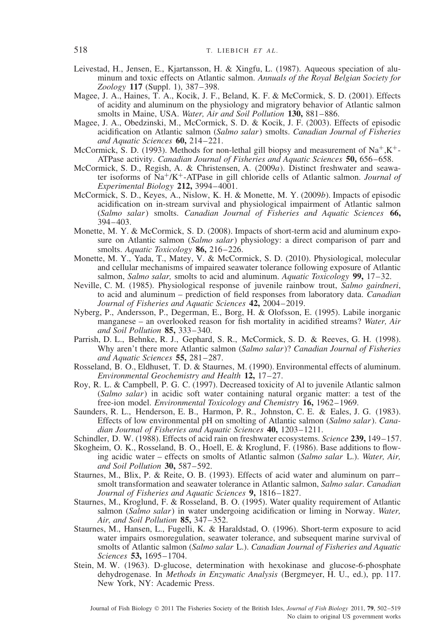- Leivestad, H., Jensen, E., Kjartansson, H. & Xingfu, L. (1987). Aqueous speciation of aluminum and toxic effects on Atlantic salmon. *Annuals of the Royal Belgian Society for Zoology* **117** (Suppl. 1), 387–398.
- Magee, J. A., Haines, T. A., Kocik, J. F., Beland, K. F. & McCormick, S. D. (2001). Effects of acidity and aluminum on the physiology and migratory behavior of Atlantic salmon smolts in Maine, USA. *Water, Air and Soil Pollution* **130,** 881–886.
- Magee, J. A., Obedzinski, M., McCormick, S. D. & Kocik, J. F. (2003). Effects of episodic acidification on Atlantic salmon (*Salmo salar*) smolts. *Canadian Journal of Fisheries and Aquatic Sciences* **60,** 214–221.
- McCormick, S. D. (1993). Methods for non-lethal gill biopsy and measurement of  $Na^+, K^+$ -ATPase activity. *Canadian Journal of Fisheries and Aquatic Sciences* **50,** 656–658.
- McCormick, S. D., Regish, A. & Christensen, A. (2009*a*). Distinct freshwater and seawater isoforms of Na+/K+-ATPase in gill chloride cells of Atlantic salmon. *Journal of Experimental Biology* **212,** 3994–4001.
- McCormick, S. D., Keyes, A., Nislow, K. H. & Monette, M. Y. (2009*b*). Impacts of episodic acidification on in-stream survival and physiological impairment of Atlantic salmon (*Salmo salar*) smolts. *Canadian Journal of Fisheries and Aquatic Sciences* **66,** 394–403.
- Monette, M. Y. & McCormick, S. D. (2008). Impacts of short-term acid and aluminum exposure on Atlantic salmon (*Salmo salar*) physiology: a direct comparison of parr and smolts. *Aquatic Toxicology* **86,** 216–226.
- Monette, M. Y., Yada, T., Matey, V. & McCormick, S. D. (2010). Physiological, molecular and cellular mechanisms of impaired seawater tolerance following exposure of Atlantic salmon, *Salmo salar,* smolts to acid and aluminum. *Aquatic Toxicology* **99,** 17–32.
- Neville, C. M. (1985). Physiological response of juvenile rainbow trout, *Salmo gairdneri*, to acid and aluminum – prediction of field responses from laboratory data. *Canadian Journal of Fisheries and Aquatic Sciences* **42,** 2004–2019.
- Nyberg, P., Andersson, P., Degerman, E., Borg, H. & Olofsson, E. (1995). Labile inorganic manganese – an overlooked reason for fish mortality in acidified streams? *Water, Air and Soil Pollution* **85,** 333–340.
- Parrish, D. L., Behnke, R. J., Gephard, S. R., McCormick, S. D. & Reeves, G. H. (1998). Why aren't there more Atlantic salmon (*Salmo salar*)? *Canadian Journal of Fisheries and Aquatic Sciences* **55,** 281–287.
- Rosseland, B. O., Eldhuset, T. D. & Staurnes, M. (1990). Environmental effects of aluminum. *Environmental Geochemistry and Health* **12,** 17–27.
- Roy, R. L. & Campbell, P. G. C. (1997). Decreased toxicity of Al to juvenile Atlantic salmon (*Salmo salar*) in acidic soft water containing natural organic matter: a test of the free-ion model. *Environmental Toxicology and Chemistry* **16,** 1962–1969.
- Saunders, R. L., Henderson, E. B., Harmon, P. R., Johnston, C. E. & Eales, J. G. (1983). Effects of low environmental pH on smolting of Atlantic salmon (*Salmo salar*). *Canadian Journal of Fisheries and Aquatic Sciences* **40,** 1203–1211.
- Schindler, D. W. (1988). Effects of acid rain on freshwater ecosystems. *Science* **239,** 149–157.
- Skogheim, O. K., Rosseland, B. O., Hoell, E. & Kroglund, F. (1986). Base additions to flowing acidic water – effects on smolts of Atlantic salmon (*Salmo salar* L.). *Water, Air, and Soil Pollution* **30,** 587–592.
- Staurnes, M., Blix, P. & Reite, O. B. (1993). Effects of acid water and aluminum on parr– smolt transformation and seawater tolerance in Atlantic salmon, *Salmo salar*. *Canadian Journal of Fisheries and Aquatic Sciences* **9,** 1816–1827.
- Staurnes, M., Kroglund, F. & Rosseland, B. O. (1995). Water quality requirement of Atlantic salmon (*Salmo salar*) in water undergoing acidification or liming in Norway. *Water, Air, and Soil Pollution* **85,** 347–352.
- Staurnes, M., Hansen, L., Fugelli, K. & Haraldstad, O. (1996). Short-term exposure to acid water impairs osmoregulation, seawater tolerance, and subsequent marine survival of smolts of Atlantic salmon (*Salmo salar* L.). *Canadian Journal of Fisheries and Aquatic Sciences* **53,** 1695–1704.
- Stein, M. W. (1963). D-glucose, determination with hexokinase and glucose-6-phosphate dehydrogenase. In *Methods in Enzymatic Analysis* (Bergmeyer, H. U., ed.), pp. 117. New York, NY: Academic Press.